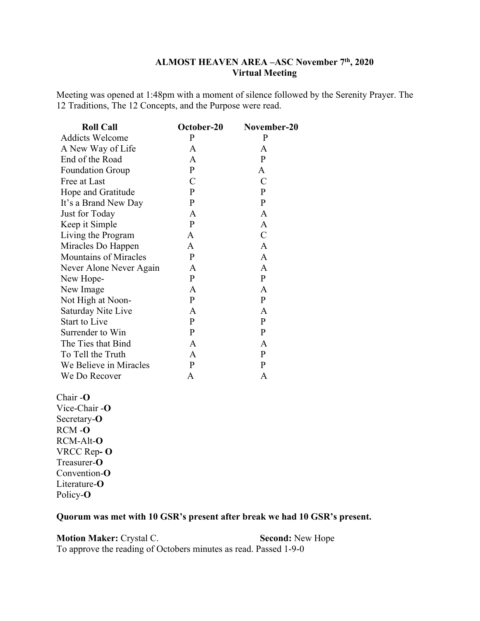## **ALMOST HEAVEN AREA –ASC November 7th, 2020 Virtual Meeting**

Meeting was opened at 1:48pm with a moment of silence followed by the Serenity Prayer. The 12 Traditions, The 12 Concepts, and the Purpose were read.

| <b>Roll Call</b>             | October-20   | November-20   |
|------------------------------|--------------|---------------|
| <b>Addicts Welcome</b>       | P            | P             |
| A New Way of Life            | A            | A             |
| End of the Road              | A            | $\mathbf{P}$  |
| <b>Foundation Group</b>      | $\mathbf{P}$ | A             |
| Free at Last                 | C            | C             |
| Hope and Gratitude           | $\mathbf{P}$ | P             |
| It's a Brand New Day         | $\mathbf{P}$ | $\mathbf{P}$  |
| Just for Today               | A            | A             |
| Keep it Simple               | P            | A             |
| Living the Program           | A            | $\mathcal{C}$ |
| Miracles Do Happen           | A            | A             |
| <b>Mountains of Miracles</b> | P            | A             |
| Never Alone Never Again      | A            | A             |
| New Hope-                    | P            | $\mathbf{P}$  |
| New Image                    | A            | A             |
| Not High at Noon-            | $\mathbf{P}$ | $\mathbf{P}$  |
| Saturday Nite Live           | A            | A             |
| <b>Start to Live</b>         | P            | $\mathbf{P}$  |
| Surrender to Win             | $\mathbf{P}$ | $\mathbf{P}$  |
| The Ties that Bind           | A            | A             |
| To Tell the Truth            | A            | $\mathbf{P}$  |
| We Believe in Miracles       | P            | P             |
| We Do Recover                | Α            | Α             |

#### Chair -**O**

Vice-Chair -**O** Secretary-**O** RCM -**O** RCM-Alt-**O**  VRCC Rep**- O** Treasurer-**O** Convention-**O** Literature-**O** Policy-**O** 

## **Quorum was met with 10 GSR's present after break we had 10 GSR's present.**

**Motion Maker: Crystal C.** Se**cond:** New Hope To approve the reading of Octobers minutes as read. Passed 1-9-0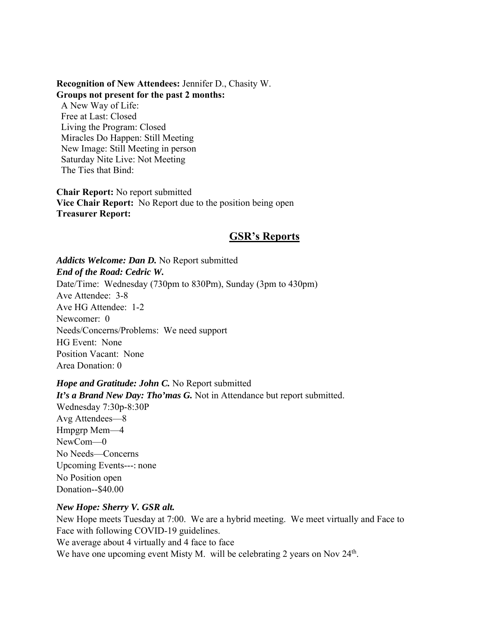#### **Recognition of New Attendees:** Jennifer D., Chasity W. **Groups not present for the past 2 months:**

A New Way of Life: Free at Last: Closed Living the Program: Closed Miracles Do Happen: Still Meeting New Image: Still Meeting in person Saturday Nite Live: Not Meeting The Ties that Bind:

**Chair Report:** No report submitted **Vice Chair Report:** No Report due to the position being open **Treasurer Report:** 

# **GSR's Reports**

*Addicts Welcome: Dan D.* No Report submitted *End of the Road: Cedric W.*  Date/Time: Wednesday (730pm to 830Pm), Sunday (3pm to 430pm) Ave Attendee: 3-8 Ave HG Attendee: 1-2 Newcomer: 0 Needs/Concerns/Problems: We need support HG Event: None Position Vacant: None Area Donation: 0

*Hope and Gratitude: John C.* No Report submitted *It's a Brand New Day: Tho'mas G.* Not in Attendance but report submitted. Wednesday 7:30p-8:30P Avg Attendees—8 Hmpgrp Mem—4 NewCom—0 No Needs—Concerns Upcoming Events---: none No Position open Donation--\$40.00

#### *New Hope: Sherry V. GSR alt.*

New Hope meets Tuesday at 7:00. We are a hybrid meeting. We meet virtually and Face to Face with following COVID-19 guidelines.

We average about 4 virtually and 4 face to face

We have one upcoming event Misty M. will be celebrating 2 years on Nov 24<sup>th</sup>.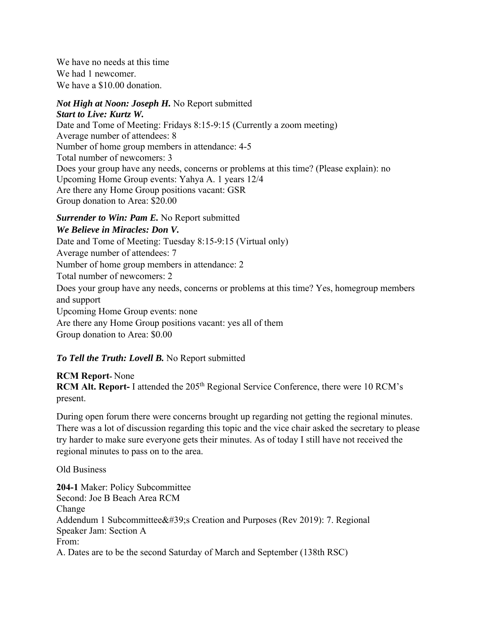We have no needs at this time We had 1 newcomer. We have a \$10.00 donation.

#### *Not High at Noon: Joseph H.* No Report submitted *Start to Live: Kurtz W.*

Date and Tome of Meeting: Fridays 8:15-9:15 (Currently a zoom meeting) Average number of attendees: 8 Number of home group members in attendance: 4-5 Total number of newcomers: 3 Does your group have any needs, concerns or problems at this time? (Please explain): no Upcoming Home Group events: Yahya A. 1 years 12/4 Are there any Home Group positions vacant: GSR Group donation to Area: \$20.00

## *Surrender to Win: Pam E.* No Report submitted

## *We Believe in Miracles: Don V.*

Date and Tome of Meeting: Tuesday 8:15-9:15 (Virtual only)

Average number of attendees: 7

Number of home group members in attendance: 2

Total number of newcomers: 2

Does your group have any needs, concerns or problems at this time? Yes, homegroup members and support

Upcoming Home Group events: none

Are there any Home Group positions vacant: yes all of them

Group donation to Area: \$0.00

# *To Tell the Truth: Lovell B.* No Report submitted

### **RCM Report-** None **RCM Alt. Report- I attended the 205<sup>th</sup> Regional Service Conference, there were 10 RCM's** present.

During open forum there were concerns brought up regarding not getting the regional minutes. There was a lot of discussion regarding this topic and the vice chair asked the secretary to please try harder to make sure everyone gets their minutes. As of today I still have not received the regional minutes to pass on to the area.

Old Business

**204-1** Maker: Policy Subcommittee Second: Joe B Beach Area RCM Change Addendum 1 Subcommittee's Creation and Purposes (Rev 2019): 7. Regional Speaker Jam: Section A From: A. Dates are to be the second Saturday of March and September (138th RSC)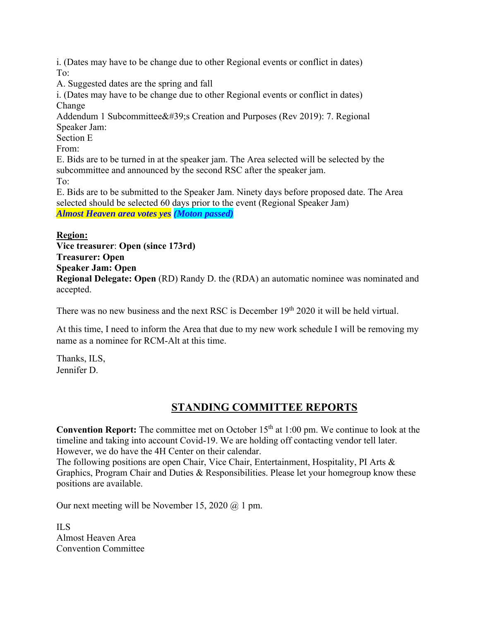i. (Dates may have to be change due to other Regional events or conflict in dates) To:

A. Suggested dates are the spring and fall

i. (Dates may have to be change due to other Regional events or conflict in dates) Change

Addendum 1 Subcommittee's Creation and Purposes (Rev 2019): 7. Regional Speaker Jam:

Section E

From:

E. Bids are to be turned in at the speaker jam. The Area selected will be selected by the subcommittee and announced by the second RSC after the speaker jam. To:

E. Bids are to be submitted to the Speaker Jam. Ninety days before proposed date. The Area selected should be selected 60 days prior to the event (Regional Speaker Jam) *Almost Heaven area votes yes (Moton passed)* 

## **Region:**

**Vice treasurer**: **Open (since 173rd) Treasurer: Open Speaker Jam: Open Regional Delegate: Open** (RD) Randy D. the (RDA) an automatic nominee was nominated and accepted.

There was no new business and the next RSC is December 19<sup>th</sup> 2020 it will be held virtual.

At this time, I need to inform the Area that due to my new work schedule I will be removing my name as a nominee for RCM-Alt at this time.

Thanks, ILS, Jennifer D.

# **STANDING COMMITTEE REPORTS**

**Convention Report:** The committee met on October 15<sup>th</sup> at 1:00 pm. We continue to look at the timeline and taking into account Covid-19. We are holding off contacting vendor tell later. However, we do have the 4H Center on their calendar.

The following positions are open Chair, Vice Chair, Entertainment, Hospitality, PI Arts & Graphics, Program Chair and Duties & Responsibilities. Please let your homegroup know these positions are available.

Our next meeting will be November 15, 2020 @ 1 pm.

ILS Almost Heaven Area Convention Committee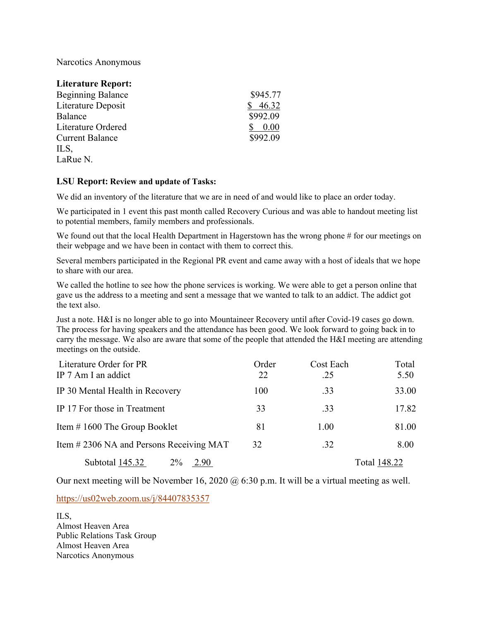Narcotics Anonymous

| <b>Literature Report:</b> |          |
|---------------------------|----------|
| <b>Beginning Balance</b>  | \$945.77 |
| Literature Deposit        | 46.32    |
| Balance                   | \$992.09 |
| Literature Ordered        | 0.00     |
| <b>Current Balance</b>    | \$992.09 |
| ILS,                      |          |
| LaRue N.                  |          |
|                           |          |

#### **LSU Report: Review and update of Tasks:**

We did an inventory of the literature that we are in need of and would like to place an order today.

We participated in 1 event this past month called Recovery Curious and was able to handout meeting list to potential members, family members and professionals.

We found out that the local Health Department in Hagerstown has the wrong phone # for our meetings on their webpage and we have been in contact with them to correct this.

Several members participated in the Regional PR event and came away with a host of ideals that we hope to share with our area.

We called the hotline to see how the phone services is working. We were able to get a person online that gave us the address to a meeting and sent a message that we wanted to talk to an addict. The addict got the text also.

Just a note. H&I is no longer able to go into Mountaineer Recovery until after Covid-19 cases go down. The process for having speakers and the attendance has been good. We look forward to going back in to carry the message. We also are aware that some of the people that attended the H&I meeting are attending meetings on the outside.

| Literature Order for PR                 | Order | Cost Each | Total        |
|-----------------------------------------|-------|-----------|--------------|
| IP 7 Am I an addict                     | 22    | .25       | 5.50         |
| IP 30 Mental Health in Recovery         | 100   | .33       | 33.00        |
| IP 17 For those in Treatment            | 33    | .33       | 17.82        |
| Item $\#$ 1600 The Group Booklet        | 81    | 1.00      | 81.00        |
| Item #2306 NA and Persons Receiving MAT | 32    | .32       | 8.00         |
| Subtotal 145.32<br>$2\%$<br>2.90        |       |           | Total 148.22 |

Our next meeting will be November 16, 2020 @ 6:30 p.m. It will be a virtual meeting as well.

https://us02web.zoom.us/j/84407835357

ILS, Almost Heaven Area Public Relations Task Group Almost Heaven Area Narcotics Anonymous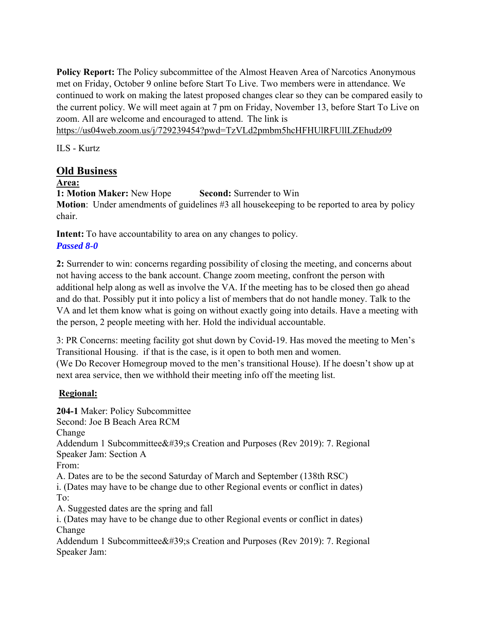**Policy Report:** The Policy subcommittee of the Almost Heaven Area of Narcotics Anonymous met on Friday, October 9 online before Start To Live. Two members were in attendance. We continued to work on making the latest proposed changes clear so they can be compared easily to the current policy. We will meet again at 7 pm on Friday, November 13, before Start To Live on zoom. All are welcome and encouraged to attend. The link is

https://us04web.zoom.us/j/729239454?pwd=TzVLd2pmbm5hcHFHUlRFUllLZEhudz09

ILS - Kurtz

# **Old Business**

## **Area:**

**1: Motion Maker:** New Hope **Second:** Surrender to Win

**Motion**: Under amendments of guidelines #3 all house keeping to be reported to area by policy chair.

**Intent:** To have accountability to area on any changes to policy. *Passed 8-0*

**2:** Surrender to win: concerns regarding possibility of closing the meeting, and concerns about not having access to the bank account. Change zoom meeting, confront the person with additional help along as well as involve the VA. If the meeting has to be closed then go ahead and do that. Possibly put it into policy a list of members that do not handle money. Talk to the VA and let them know what is going on without exactly going into details. Have a meeting with the person, 2 people meeting with her. Hold the individual accountable.

3: PR Concerns: meeting facility got shut down by Covid-19. Has moved the meeting to Men's Transitional Housing. if that is the case, is it open to both men and women. (We Do Recover Homegroup moved to the men's transitional House). If he doesn't show up at next area service, then we withhold their meeting info off the meeting list.

# **Regional:**

**204-1** Maker: Policy Subcommittee Second: Joe B Beach Area RCM Change Addendum 1 Subcommittee  $&\#39$ ; Creation and Purposes (Rev 2019): 7. Regional Speaker Jam: Section A From: A. Dates are to be the second Saturday of March and September (138th RSC) i. (Dates may have to be change due to other Regional events or conflict in dates) To: A. Suggested dates are the spring and fall i. (Dates may have to be change due to other Regional events or conflict in dates) Change Addendum 1 Subcommittee  $\&\#39$ ; Creation and Purposes (Rev 2019): 7. Regional Speaker Jam: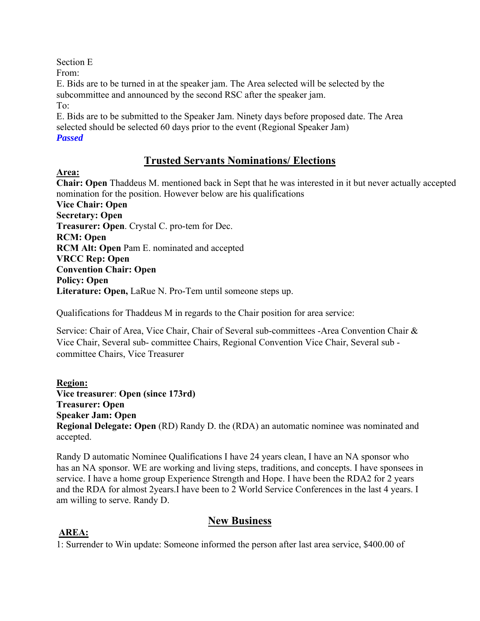Section E

From:

E. Bids are to be turned in at the speaker jam. The Area selected will be selected by the subcommittee and announced by the second RSC after the speaker jam.

To:

E. Bids are to be submitted to the Speaker Jam. Ninety days before proposed date. The Area selected should be selected 60 days prior to the event (Regional Speaker Jam)

# *Passed*

# **Trusted Servants Nominations/ Elections**

**Area:** 

**Chair: Open** Thaddeus M. mentioned back in Sept that he was interested in it but never actually accepted nomination for the position. However below are his qualifications **Vice Chair: Open Secretary: Open Treasurer: Open**. Crystal C. pro-tem for Dec. **RCM: Open RCM Alt: Open** Pam E. nominated and accepted **VRCC Rep: Open Convention Chair: Open Policy: Open Literature: Open,** LaRue N. Pro-Tem until someone steps up.

Qualifications for Thaddeus M in regards to the Chair position for area service:

Service: Chair of Area, Vice Chair, Chair of Several sub-committees -Area Convention Chair & Vice Chair, Several sub- committee Chairs, Regional Convention Vice Chair, Several sub committee Chairs, Vice Treasurer

**Region: Vice treasurer**: **Open (since 173rd) Treasurer: Open Speaker Jam: Open Regional Delegate: Open** (RD) Randy D. the (RDA) an automatic nominee was nominated and accepted.

Randy D automatic Nominee Qualifications I have 24 years clean, I have an NA sponsor who has an NA sponsor. WE are working and living steps, traditions, and concepts. I have sponsees in service. I have a home group Experience Strength and Hope. I have been the RDA2 for 2 years and the RDA for almost 2years.I have been to 2 World Service Conferences in the last 4 years. I am willing to serve. Randy D.

# **New Business**

# **AREA:**

1: Surrender to Win update: Someone informed the person after last area service, \$400.00 of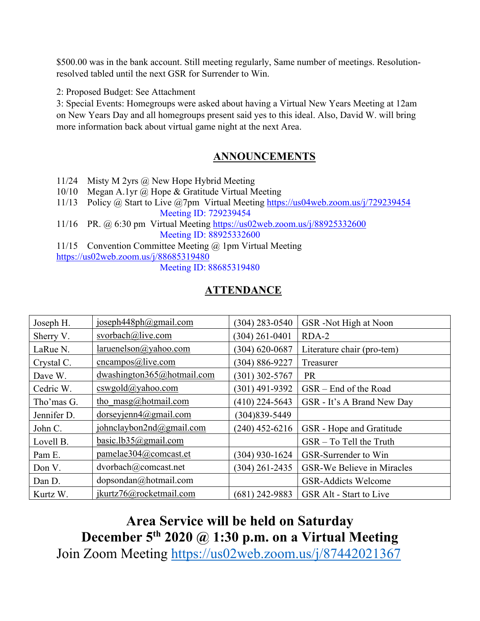\$500.00 was in the bank account. Still meeting regularly, Same number of meetings. Resolutionresolved tabled until the next GSR for Surrender to Win.

2: Proposed Budget: See Attachment

3: Special Events: Homegroups were asked about having a Virtual New Years Meeting at 12am on New Years Day and all homegroups present said yes to this ideal. Also, David W. will bring more information back about virtual game night at the next Area.

# **ANNOUNCEMENTS**

- 11/24 Misty M 2yrs @ New Hope Hybrid Meeting
- 10/10 Megan A.1yr @ Hope & Gratitude Virtual Meeting
- 11/13 Policy @ Start to Live @7pm Virtual Meeting https://us04web.zoom.us/j/729239454 Meeting ID: 729239454
- 11/16 PR. @ 6:30 pm Virtual Meeting https://us02web.zoom.us/j/88925332600 Meeting ID: 88925332600

11/15 Convention Committee Meeting @ 1pm Virtual Meeting https://us02web.zoom.us/j/88685319480

Meeting ID: 88685319480

# **ATTENDANCE**

| Joseph H.   | joseph448ph@gmail.com            | $(304)$ 283-0540   | GSR-Not High at Noon              |
|-------------|----------------------------------|--------------------|-----------------------------------|
| Sherry V.   | svorbach@live.com                | $(304)$ 261-0401   | RDA-2                             |
| LaRue N.    | laruenelson@yahoo.com            | $(304) 620 - 0687$ | Literature chair (pro-tem)        |
| Crystal C.  | cncampos@live.com                | (304) 886-9227     | Treasurer                         |
| Dave W.     | dwashington365@hotmail.com       | (301) 302-5767     | <b>PR</b>                         |
| Cedric W.   | cswgold@yahoo.com                | (301) 491-9392     | GSR – End of the Road             |
| Tho'mas G.  | tho $\text{masg}(a)$ hotmail.com | $(410)$ 224-5643   | GSR - It's A Brand New Day        |
| Jennifer D. | $d$ orseyjenn $4$ @gmail.com     | (304) 839 - 5449   |                                   |
| John C.     | johnclaybon2nd@gmail.com         | $(240)$ 452-6216   | GSR - Hope and Gratitude          |
| Lovell B.   | basic.lb35@gmail.com             |                    | GSR - To Tell the Truth           |
| Pam E.      | pamelae304@comcast.et            | $(304)$ 930-1624   | GSR-Surrender to Win              |
| Don V.      | dvorbach@comcast.net             | $(304)$ 261-2435   | <b>GSR-We Believe in Miracles</b> |
| Dan D.      | $dopsondan(a)$ hotmail.com       |                    | <b>GSR-Addicts Welcome</b>        |
| Kurtz W.    | jkurtz76@rocketmail.com          | (681) 242-9883     | <b>GSR Alt - Start to Live</b>    |

# **Area Service will be held on Saturday December 5th 2020 @ 1:30 p.m. on a Virtual Meeting**  Join Zoom Meeting https://us02web.zoom.us/j/87442021367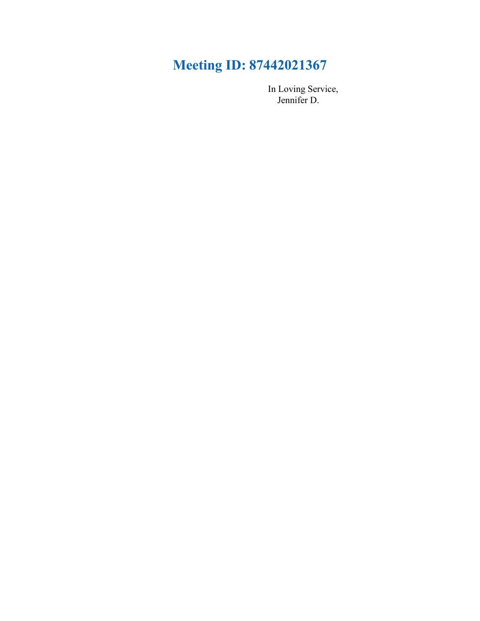# **Meeting ID: 87442021367**

 In Loving Service, Jennifer D.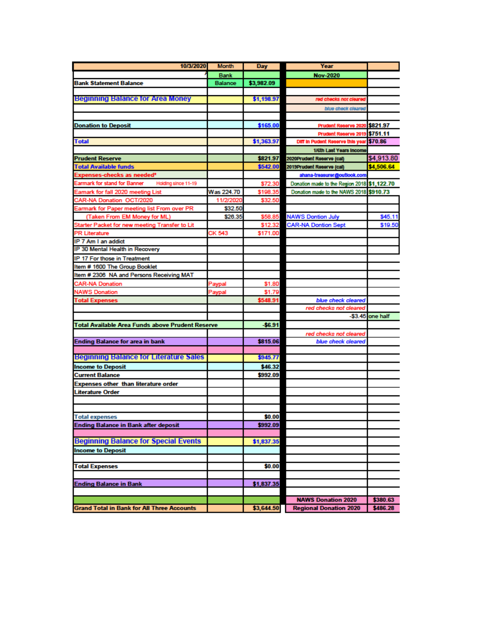| 10/3/2020                                           | <b>Month</b>   | <b>Day</b> | Year                                        |                  |
|-----------------------------------------------------|----------------|------------|---------------------------------------------|------------------|
|                                                     | <b>Bank</b>    |            | <b>Nov-2020</b>                             |                  |
| <b>Bank Statement Balance</b>                       | <b>Balance</b> | \$3,982.09 |                                             |                  |
|                                                     |                |            |                                             |                  |
| <b>Beginning Balance for Area Money</b>             |                | \$1,198.97 | red checks not cleared                      |                  |
|                                                     |                |            | blue check cleared                          |                  |
|                                                     |                |            |                                             |                  |
| <b>Donation to Deposit</b>                          |                | \$165.00   | Prudent Reserve 2020                        | \$821.97         |
|                                                     |                |            | Prudent Reserve 2019                        | \$751.11         |
| <b>Total</b>                                        |                | \$1,363.97 | Diff in Pudent Reserve this year \$70.86    |                  |
|                                                     |                |            | 1/6th Last Years Income                     |                  |
| <b>Prudent Reserve</b>                              |                | \$821.97   | 2020Prudent Reserve (cal)                   | \$4,913.80       |
| <b>Total Available funds</b>                        |                | \$542.00   | 2019Prudent Reserve (cal)                   | \$4,506.64       |
| Expenses-checks as needed*                          |                |            | ahana-treasurer@outlook.com                 |                  |
| Earmark for stand for Banner<br>Holding since 11-19 |                | \$72.30    | Donation made to the Region 2018 \$1,122.70 |                  |
| Eamark for fall 2020 meeting List                   | Was 224.70     | \$198.35   | Donation made to the NAWS 2018 \$910.73     |                  |
| CAR-NA Donation OCT/2020                            | 11/2/2020      | \$32.50    |                                             |                  |
| Earmark for Paper meeting list From over PR         | \$32.50        |            |                                             |                  |
| (Taken From EM Money for ML)                        | \$26.35        | \$58.85    | <b>NAWS Dontion July</b>                    | \$45.11          |
| Starter Packet for new meeting Transfer to Lit      |                | \$12.32    | <b>CAR-NA Dontion Sept</b>                  | \$19.50          |
| <b>PR Literature</b>                                | CK 543         | \$171.00   |                                             |                  |
| IP 7 Am I an addict                                 |                |            |                                             |                  |
| IP 30 Mental Health in Recovery                     |                |            |                                             |                  |
| IP 17 For those in Treatment                        |                |            |                                             |                  |
| Item # 1600 The Group Booklet                       |                |            |                                             |                  |
| Item # 2306 NA and Persons Receiving MAT            |                |            |                                             |                  |
| <b>CAR-NA Donation</b>                              | Paypal         | \$1.80     |                                             |                  |
| <b>NAWS Donation</b>                                | Paypal         | \$1.79     |                                             |                  |
| <b>Total Expenses</b>                               |                | \$548.91   | blue check cleared                          |                  |
|                                                     |                |            | red checks not cleared                      |                  |
|                                                     |                |            |                                             | -\$3.45 one half |
| Total Available Area Funds above Prudent Reserve    |                | \$6.91     |                                             |                  |
|                                                     |                |            | red checks not cleared                      |                  |
| <b>Ending Balance for area in bank</b>              |                | \$815.06   | blue check cleared                          |                  |
|                                                     |                |            |                                             |                  |
| <b>Beginning Balance for Literature Sales</b>       |                | \$945.77   |                                             |                  |
| <b>Income to Deposit</b>                            |                | \$46.32    |                                             |                  |
| <b>Current Balance</b>                              |                | \$992.09   |                                             |                  |
| <b>Expenses other than literature order</b>         |                |            |                                             |                  |
| Literature Order                                    |                |            |                                             |                  |
|                                                     |                |            |                                             |                  |
|                                                     |                |            |                                             |                  |
| <b>Total expenses</b>                               |                | \$0.00     |                                             |                  |
| <b>Ending Balance in Bank after deposit</b>         |                | \$992.09   |                                             |                  |
|                                                     |                |            |                                             |                  |
| <b>Beginning Balance for Special Events</b>         |                | \$1,837.35 |                                             |                  |
| <b>Income to Deposit</b>                            |                |            |                                             |                  |
| <b>Total Expenses</b>                               |                |            |                                             |                  |
|                                                     |                | \$0.00     |                                             |                  |
|                                                     |                |            |                                             |                  |
| <b>Ending Balance in Bank</b>                       |                | \$1,837.35 |                                             |                  |
|                                                     |                |            | <b>NAWS Donation 2020</b>                   | \$380.63         |
| <b>Grand Total in Bank for All Three Accounts</b>   |                | \$3,644.50 |                                             |                  |
|                                                     |                |            | <b>Regional Donation 2020</b>               | \$486.28         |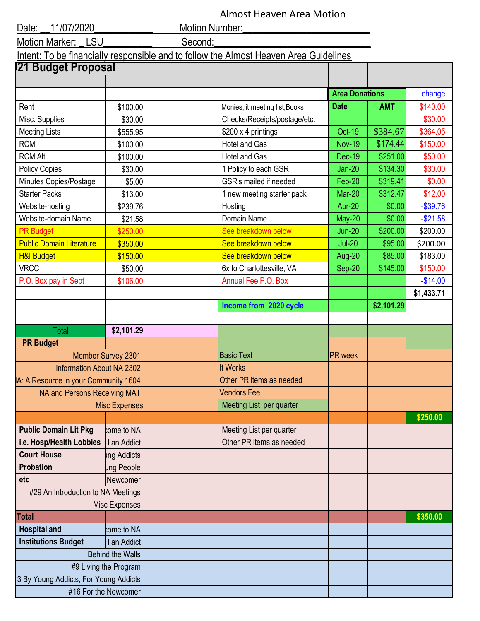| Almost Heaven Area Motion |  |  |
|---------------------------|--|--|
|---------------------------|--|--|

| 11/07/2020<br>Date:                   |                         | Motion Number:                                                                        |                       |            |            |
|---------------------------------------|-------------------------|---------------------------------------------------------------------------------------|-----------------------|------------|------------|
| LSU<br><b>Motion Marker:</b>          | Second:                 |                                                                                       |                       |            |            |
|                                       |                         | Intent: To be financially responsible and to follow the Almost Heaven Area Guidelines |                       |            |            |
| 21 Budget Proposal                    |                         |                                                                                       |                       |            |            |
|                                       |                         |                                                                                       |                       |            |            |
|                                       |                         |                                                                                       | <b>Area Donations</b> |            | change     |
| Rent                                  | \$100.00                | Monies, lit, meeting list, Books                                                      | <b>Date</b>           | <b>AMT</b> | \$140.00   |
| Misc. Supplies                        | \$30.00                 | Checks/Receipts/postage/etc.                                                          |                       |            | \$30.00    |
| <b>Meeting Lists</b>                  | \$555.95                | \$200 x 4 printings                                                                   | <b>Oct-19</b>         | \$384.67   | \$364.05   |
| <b>RCM</b>                            | \$100.00                | <b>Hotel and Gas</b>                                                                  | <b>Nov-19</b>         | \$174.44   | \$150.00   |
| <b>RCM Alt</b>                        | \$100.00                | <b>Hotel and Gas</b>                                                                  | <b>Dec-19</b>         | \$251.00   | \$50.00    |
| <b>Policy Copies</b>                  | \$30.00                 | 1 Policy to each GSR                                                                  | $Jan-20$              | \$134.30   | \$30.00    |
| Minutes Copies/Postage                | \$5.00                  | GSR's mailed if needed                                                                | Feb-20                | \$319.41   | \$0.00     |
| <b>Starter Packs</b>                  | \$13.00                 | 1 new meeting starter pack                                                            | <b>Mar-20</b>         | \$312.47   | \$12.00    |
| Website-hosting                       | \$239.76                | Hosting                                                                               | Apr-20                | \$0.00     | $-$39.76$  |
| Website-domain Name                   | \$21.58                 | Domain Name                                                                           | <b>May-20</b>         | \$0.00     | $-$21.58$  |
| <b>PR Budget</b>                      | \$250.00                | See breakdown below                                                                   | <b>Jun-20</b>         | \$200.00   | \$200.00   |
| <b>Public Domain Literature</b>       | \$350.00                | See breakdown below                                                                   | $Jul-20$              | \$95.00    | \$200.00   |
| <b>H&amp;I Budget</b>                 | \$150.00                | See breakdown below                                                                   | Aug-20                | \$85.00    | \$183.00   |
| <b>VRCC</b>                           | \$50.00                 | 6x to Charlottesville, VA                                                             | Sep-20                | \$145.00   | \$150.00   |
| P.O. Box pay in Sept                  | \$106.00                | Annual Fee P.O. Box                                                                   |                       |            | $-$14.00$  |
|                                       |                         |                                                                                       |                       |            | \$1,433.71 |
|                                       |                         | Income from 2020 cycle                                                                |                       | \$2,101.29 |            |
|                                       |                         |                                                                                       |                       |            |            |
| Total                                 | \$2,101.29              |                                                                                       |                       |            |            |
| <b>PR Budget</b>                      |                         |                                                                                       |                       |            |            |
|                                       | Member Survey 2301      | <b>Basic Text</b>                                                                     | <b>PR</b> week        |            |            |
| <b>Information About NA 2302</b>      |                         | <b>It Works</b>                                                                       |                       |            |            |
| A: A Resource in your Community 1604  |                         | Other PR items as needed                                                              |                       |            |            |
| NA and Persons Receiving MAT          |                         | <b>Vendors Fee</b>                                                                    |                       |            |            |
|                                       | <b>Misc Expenses</b>    | Meeting List per quarter                                                              |                       |            |            |
|                                       |                         |                                                                                       |                       |            | \$250.00   |
| <b>Public Domain Lit Pkg</b>          | come to NA              | Meeting List per quarter                                                              |                       |            |            |
| i.e. Hosp/Health Lobbies              | I an Addict             | Other PR items as needed                                                              |                       |            |            |
| <b>Court House</b>                    | ing Addicts             |                                                                                       |                       |            |            |
| <b>Probation</b>                      | ung People              |                                                                                       |                       |            |            |
| etc                                   | Newcomer                |                                                                                       |                       |            |            |
| #29 An Introduction to NA Meetings    |                         |                                                                                       |                       |            |            |
|                                       | Misc Expenses           |                                                                                       |                       |            |            |
| <b>Total</b>                          |                         |                                                                                       |                       |            | \$350.00   |
| <b>Hospital and</b>                   | come to NA              |                                                                                       |                       |            |            |
| <b>Institutions Budget</b>            | I an Addict             |                                                                                       |                       |            |            |
|                                       | <b>Behind the Walls</b> |                                                                                       |                       |            |            |
|                                       | #9 Living the Program   |                                                                                       |                       |            |            |
| 3 By Young Addicts, For Young Addicts |                         |                                                                                       |                       |            |            |
|                                       | #16 For the Newcomer    |                                                                                       |                       |            |            |
|                                       |                         |                                                                                       |                       |            |            |